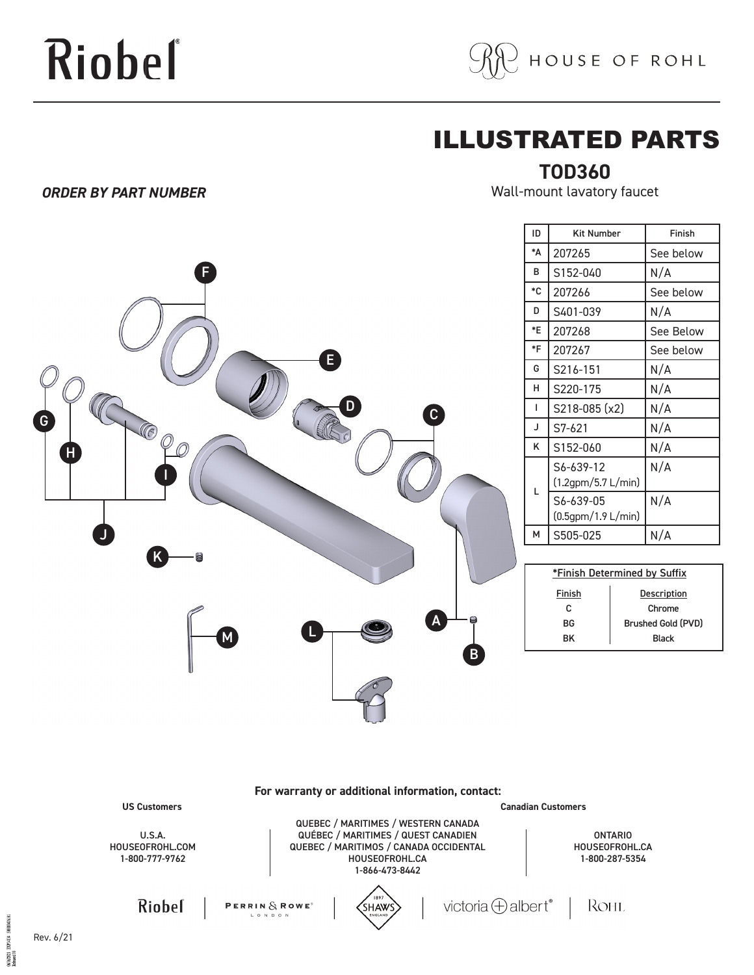# Riobel

*ORDER BY PART NUMBER*

OSUMENTI EXPLAÇÃ SOLODOATRÍST<br>Referred 00



### ILLUSTRATED PARTS

### **TOD360**

Wall-mount lavatory faucet

|                                                                                                                                                                                                         | ID                 | <b>Kit Number</b>                                  | Finish                                    |
|---------------------------------------------------------------------------------------------------------------------------------------------------------------------------------------------------------|--------------------|----------------------------------------------------|-------------------------------------------|
|                                                                                                                                                                                                         | $\mathbf{A}^*$     | 207265                                             | See below                                 |
| F                                                                                                                                                                                                       | В                  | S152-040                                           | N/A                                       |
|                                                                                                                                                                                                         | $^\ast{\rm C}$     | 207266                                             | See below                                 |
|                                                                                                                                                                                                         | D                  | S401-039                                           | N/A                                       |
|                                                                                                                                                                                                         | $\,{}^*\mathsf{E}$ | 207268                                             | See Below                                 |
| E                                                                                                                                                                                                       | $*_{F}$            | 207267                                             | See below                                 |
|                                                                                                                                                                                                         | G                  | S216-151                                           | N/A                                       |
|                                                                                                                                                                                                         | н                  | S220-175                                           | N/A                                       |
| D<br>G                                                                                                                                                                                                  | -1                 | S218-085 (x2)                                      | N/A                                       |
| $\left(\!\!\left(\!\!\left.\!\!\left[\!\!\left[ \mathfrak{c} \right]\!\!\right]\!\!\right.\!\!\right)$<br>$\widehat{\mathcal{O}}$                                                                       | J                  | S7-621                                             | N/A                                       |
|                                                                                                                                                                                                         | Κ                  | S152-060                                           | N/A                                       |
|                                                                                                                                                                                                         |                    | S6-639-12                                          | N/A                                       |
|                                                                                                                                                                                                         | L                  | $(1.2$ gpm/5.7 L/min)                              |                                           |
|                                                                                                                                                                                                         |                    | S6-639-05<br>(0.5gpm/1.9 L/min)                    | N/A                                       |
|                                                                                                                                                                                                         | м                  | S505-025                                           | N/A                                       |
|                                                                                                                                                                                                         |                    |                                                    |                                           |
|                                                                                                                                                                                                         |                    | *Finish Determined by Suffix                       |                                           |
|                                                                                                                                                                                                         |                    | <b>Finish</b>                                      | <b>Description</b>                        |
| A                                                                                                                                                                                                       |                    | C                                                  | Chrome                                    |
|                                                                                                                                                                                                         |                    | BG<br>BK                                           | <b>Brushed Gold (PVD)</b><br><b>Black</b> |
| $\mathsf B$                                                                                                                                                                                             |                    |                                                    |                                           |
|                                                                                                                                                                                                         |                    |                                                    |                                           |
| For warranty or additional information, contact:<br><b>US Customers</b>                                                                                                                                 |                    | <b>Canadian Customers</b>                          |                                           |
| QUEBEC / MARITIMES / WESTERN CANADA<br>QUÉBEC / MARITIMES / QUEST CANADIEN<br>U.S.A.<br>QUEBEC / MARITIMOS / CANADA OCCIDENTAL<br>HOUSEOFROHL.COM<br>1-800-777-9762<br>HOUSEOFROHL.CA<br>1-866-473-8442 |                    | <b>ONTARIO</b><br>HOUSEOFROHL.CA<br>1-800-287-5354 |                                           |
| 1897<br>victoria $\bigoplus$ albert®<br>Riobel<br>PERRIN $\delta$ ROWE <sup>®</sup><br><b>SHAWS</b><br>ENGLAND                                                                                          |                    | Rohl                                               |                                           |
| Rev. 6/21                                                                                                                                                                                               |                    |                                                    |                                           |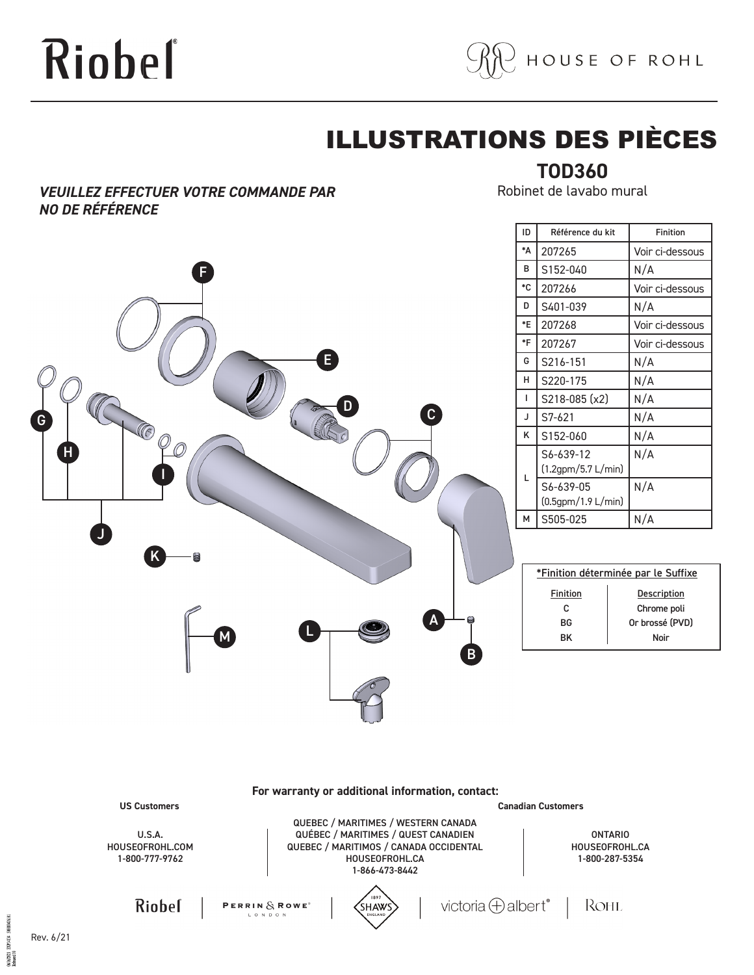# Riobeľ



## ILLUSTRATIONS DES PIÈCES

#### *VEUILLEZ EFFECTUER VOTRE COMMANDE PAR NO DE RÉFÉRENCE*

**TOD360** Robinet de lavabo mural

| F<br>G<br>C<br>Ç<br>Ô<br>H | $\mathbf{E}$<br>n<br>$\mathbf{c}$ |
|----------------------------|-----------------------------------|
| $\blacklozenge$<br>K<br>8  |                                   |
| M                          | A<br>8<br>L<br>B                  |

| ID | Référence du kit                | <b>Finition</b> |
|----|---------------------------------|-----------------|
| *Δ | 207265                          | Voir ci-dessous |
| в  | S152-040                        | N/A             |
| ۰c | 207266                          | Voir ci-dessous |
| D  | S401-039                        | N/A             |
| *E | 207268                          | Voir ci-dessous |
| *F | 207267                          | Voir ci-dessous |
| G  | S216-151                        | N/A             |
| н  | S220-175                        | N/A             |
| ı  | S218-085 (x2)                   | N/A             |
| J  | S7-621                          | N/A             |
| κ  | S152-060                        | N/A             |
| L  | S6-639-12<br>(1.2gpm/5.7 L/min) | N/A             |
|    | S6-639-05<br>(0.5gpm/1.9 L/min) | N/A             |
| М  | S505-025                        | N/A             |

| *Finition déterminée par le Suffixe |                    |  |  |  |
|-------------------------------------|--------------------|--|--|--|
| <b>Finition</b>                     | <b>Description</b> |  |  |  |
| c                                   | Chrome poli        |  |  |  |
| <b>BG</b>                           | Or brossé (PVD)    |  |  |  |
| RK                                  | Noir               |  |  |  |
|                                     |                    |  |  |  |

**For warranty or additional information, contact:**

**US Customers Canadian Customers**

U.S.A. HOUSEOFROHL.COM 1-800-777-9762

QUEBEC / MARITIMES / WESTERN CANADA QUÉBEC / MARITIMES / QUEST CANADIEN QUEBEC / MARITIMOS / CANADA OCCIDENTAL HOUSEOFROHL.CA 1-866-473-8442

ONTARIO HOUSEOFROHL.CA 1-800-287-5354

Riobel



PERRIN $\&$  ROWE<sup>®</sup>



victoria  $\bigoplus$  albert®

ROHL

Rev. 6/21

**EXPL4134** 06/06/2021<br>Released 00